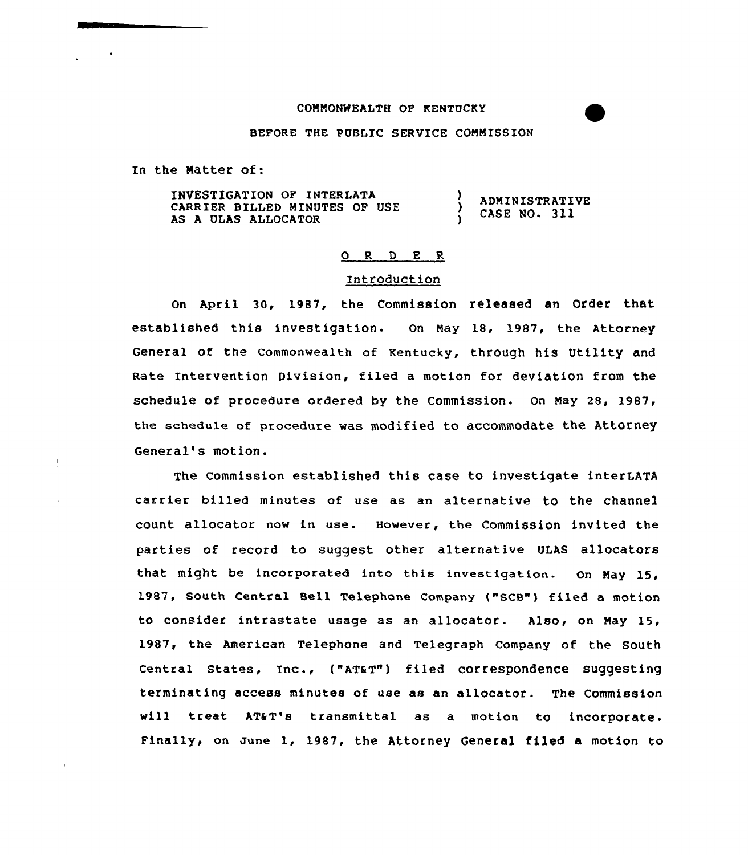### COMMONWEALTH OP KENTUCKy

## BEFORE THE PUBLIC SERVICE COMMISSION

In the Natter of:

INVESTIGATION QP INTERLATA CARRIER BILLED MINUTES OP USE AS A ULAS ALLOCATOR ) ADMINISTRATIVE CASE NO. 311

#### 0 R <sup>D</sup> E R

# Introduction

On April 30, 1987, the Commission released an Order that established this investigation. On May 18, 1987, the Attorney General of the Commonwealth of Kentucky, through his Utility and Rate Intervention Division, filed a motion for deviation from the schedule of procedure ordered by the Commission. On May 28, 1987, the schedule of procedure was modified to accommodate the Attorney General's motion.

The Commission established this case to investigate interLATA carrier billed minutes of use as an alternative to the channel count allocator now in use. However, the Commission invited the parties of record to suggest other alternative ULAS allocators that might be incorporated into this investigation. On May 15, 1987, South Central Bell Telephone Company ("SCB") filed a motion to consider intrastate usage as an allocator. Al<mark>so, on May 15,</mark> 1987, the American Telephone and Telegraph Company of the South central states, Inc., ("AT@T") filed correspondence suggesting terminating access minutes of use as an allocator. The Commission will treat AT&T's transmittal as a motion to incorporate Finally, on zune 1, 1987, the Attorney General filed a motion to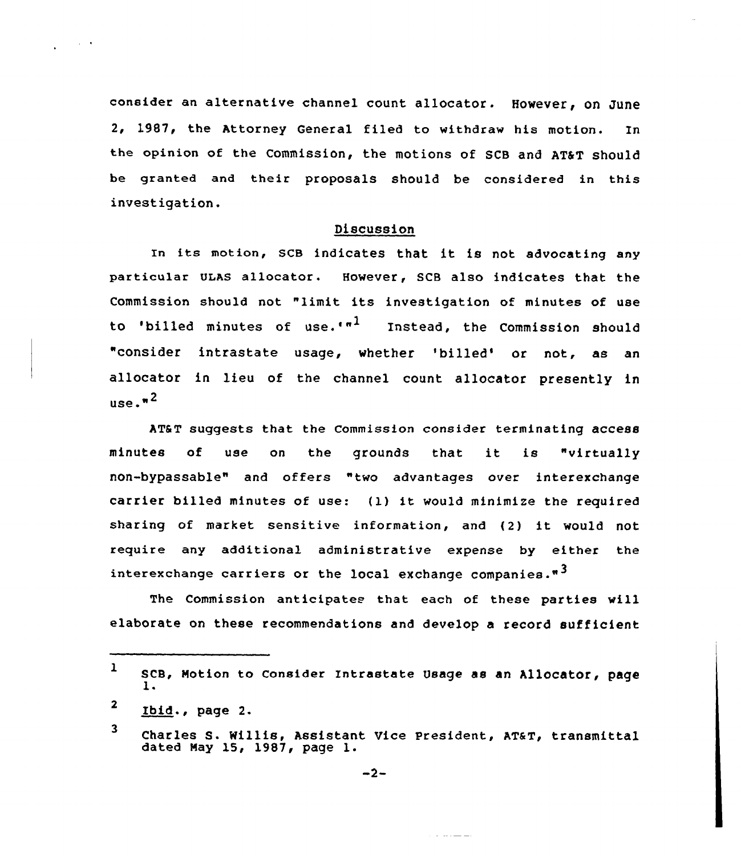consider an alternative channel count allocator. However, on June 2, 1987, the Attorney General filed to withdraw his motion. In the opinion of the Commission, the motions of SCB and ATST should be granted and their proposals should be considered in this investigation.

## Discussion

In its motion, SCB indicates that it is not advocating any particular ULAS allocator. However, SCB also indicates that the Commission should not "limit its investigation of minutes of use to 'billed minutes of use.'"<sup>1</sup> Instead, the Commission should "consider intrastate usage, whether 'billed' or not, as an allocator in lieu of the channel count allocator presently in use. $n^2$ 

AT&T suggests that the Commission consider terminating access minutes of use on the grounds that it is "virtuall non-bypassable" and offers "two advantages over interexchange carrier billed minutes of use: (1) it would minimize the required sharing of market sensitive information, and (2} it would not require any additional administrative expense by either the interexchange carriers or the local exchange companies.<sup>"3</sup>

The Commission anticipates that each of these parties will elaborate on these recommendations and develop a record sufficient

 $\mathcal{L}^{\text{max}}$  and  $\mathcal{L}^{\text{max}}$ 

بالمستعمر والمنادي

<sup>1</sup> scB, Notion to consider Intrastate Usage as an Allocator, page 1-

<sup>2</sup> Ibid., page 2.

<sup>3</sup> Charles S. Willis, Assistant Vice President, AT&T, transmittal dated Nay 15, 1987, page l.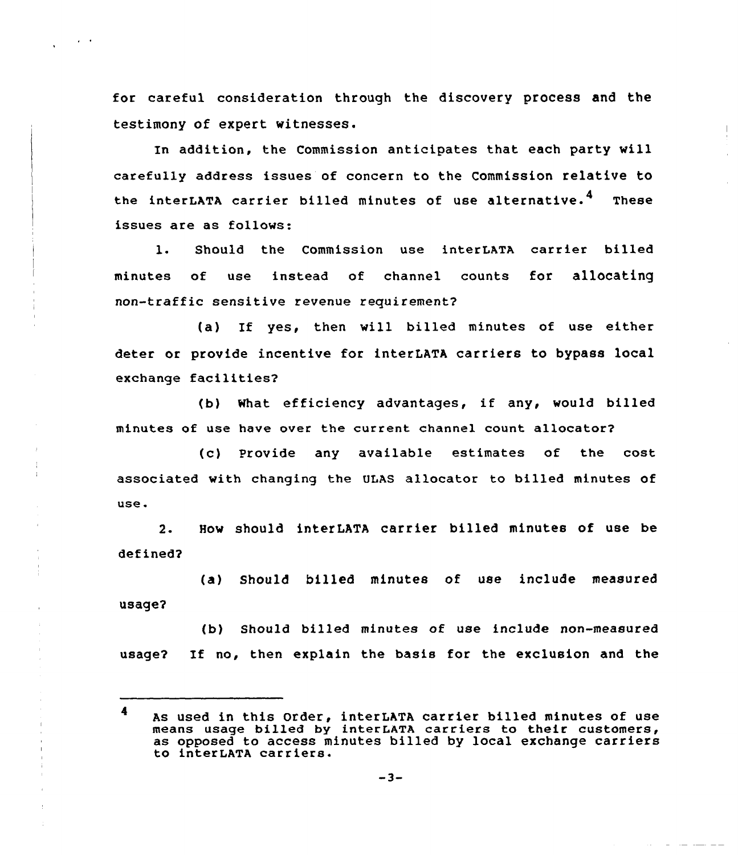for careful consideration through the discovery process and the testimony of expert witnesses.

 $\sim 10^{-10}$ 

In addition, the Commission anticipates that each party will carefully address issues of concern to the Commission relative to the interLATA carrier billed minutes of use alternative.<sup>4</sup> These issues are as follows:

1. Should the Commission use interLATA carrier billed minutes of use instead of channel counts for allocating non-traffic sensitive revenue requirement?

(a) If yes, then will billed minutes of use either deter or provide incentive for interLATA carriers to bypass local exchange facilities2

(b) What efficiency advantages, if any, would billed minutes of use have over the current channel count allocator2

(c) Provide any available estimates of the cost associated with changing the ULAS allocator to billed minutes of use.

2. How should interLATA carrier billed minutes of use be defined?

(a) Should billed minutes of use include measured usage?

(b) Should billed minutes of use include non-measured usage2 If no, then explain the basis for the exclusion and the

<sup>4</sup> As used in this Order, interLATA carrier billed minutes of use means usage billed by interLATA carriers to their customers, as opposed to access minutes billed by local exchange carriers to interLATA carriers.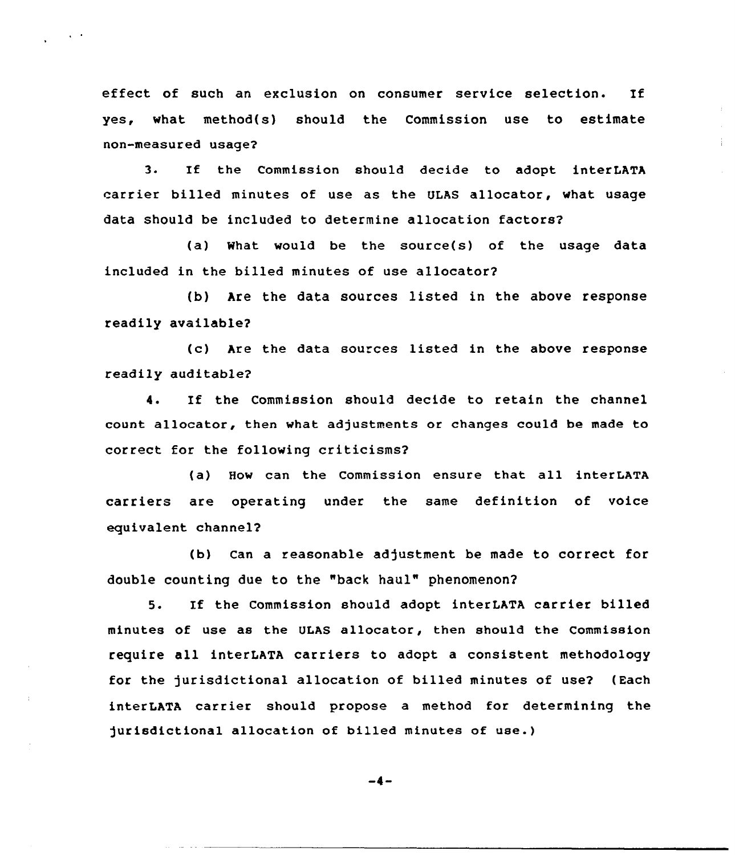effect of such an exclusion on consumer service selection. If yes, what method(s) should the Commission use to estimate non-measured usage2

 $\Delta \sim 2$ 

3. If the Commission should decide to adopt interLATA carrier billed minutes of use as the ULAS allocator, what usage data should be included to determine allocation factors2

(a) What would be the source(s) of the usage data included in the billed minutes of use allocator2

(b) Are the data sources listed in the above response readily available?

(c) Are the data sources listed in the above response readily auditable?

4. If the Commission should decide to retain the channel count allocator, then what adjustments or changes could be made to correct for the following criticisms?

(a) How can the Commission ensure that all interLATA carriers are operating under the same definition of voice equivalent channel?

(b) can a reasonable adjustment be made to correct for double counting due to the "back haul" phenomenon?

5. If the Commission should adopt interLATA carrier billed minutes of use as the ULAS allocator, then should the Commission require all interLATA carriers to adopt a consistent methodology for the jurisdictional allocation of billed minutes of use2 (Each interLATA carrier should propose a method for determining the jurisdictional allocation of billed minutes of use.)

$$
-4-
$$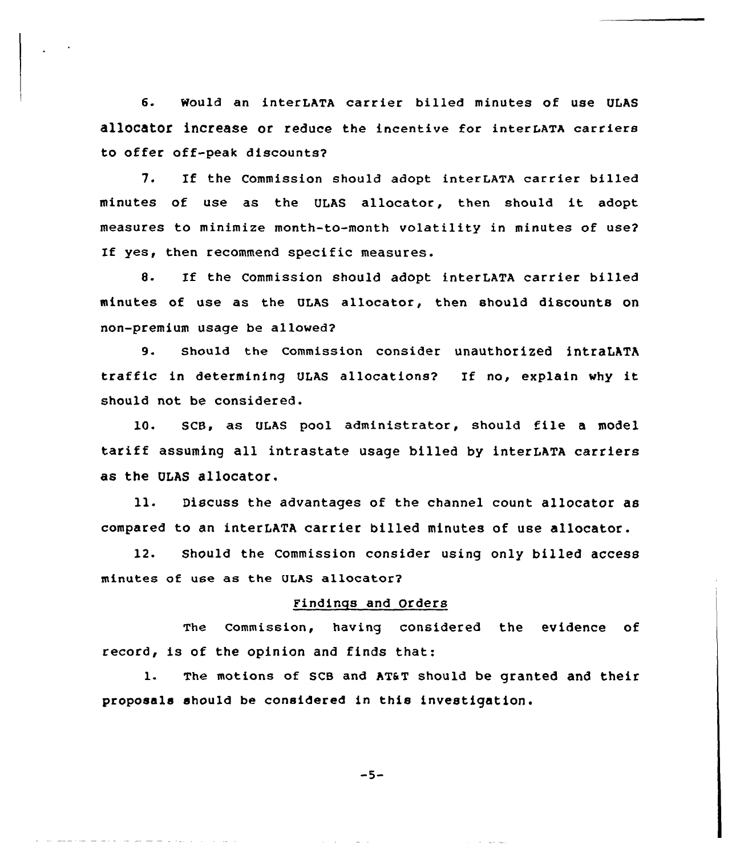6. Would an interLATA carrier billed minutes of use ULAS allocator increase or reduce the incentive for interLATA carriers to offer off-peak discounts?

7. If the commission should adopt interLATA carrier billed minutes of use as the ULAS allocator, then should it adopt measures to minimize month-to-month volatility in minutes of use? If yes, then recommend specific measures.

S. If the Commission should adopt interLATA carrier billed minutes of use as the ULAS allocator, then should discounts on non-premium usage be allowed?

9. should the commission consider unauthorized intraLATA traffic in determining ULAS allocations? If no, explain why it should not be considered.

10. SCB, as ULAS pool administrator, should file <sup>a</sup> model tariff assuming all intrastate usage billed by interLATA carriers as the ULAS allocator.

ll. Discuss the advantages of the channel count allocatar as compared to an interLATA carrier billed minutes of use allocator.

12. Should the Commission consider using only billed access minutes of use as the ULAS allocator?

## Findings and Orders

The Commission, having considered the evidence of record, is of the opinion and finds that:

1. The motions of SCB and AT&T should be granted and their proposals should be considered in this investigation.

 $-5-$ 

the product of the product of the second second that the second second second the second second second second second second second second second second second second second second second second second second second second